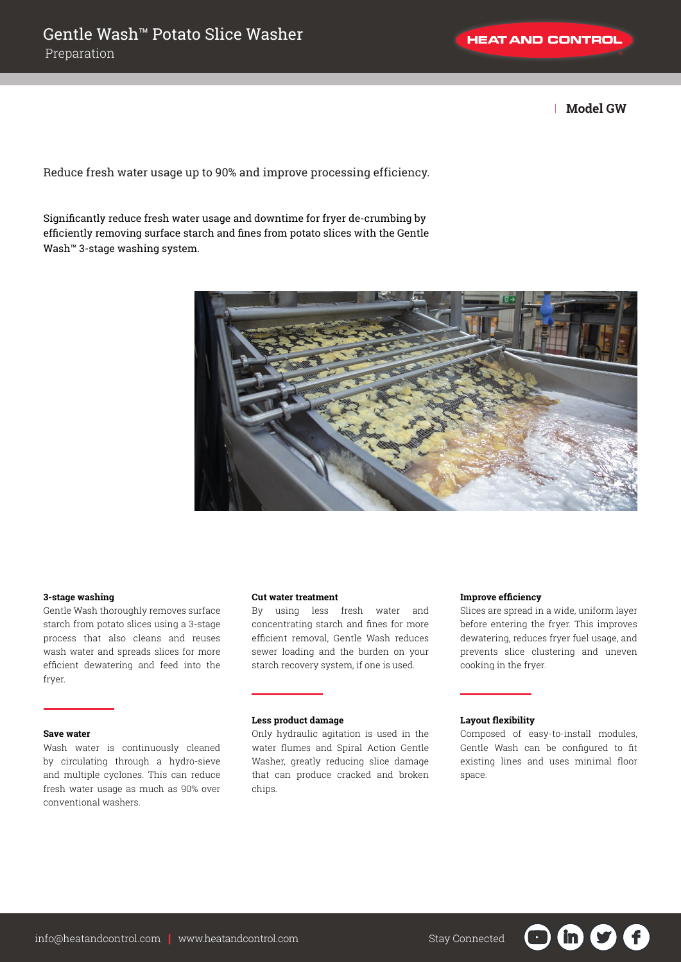**HEAT AND CONTROL** 

| **Model GW**

Reduce fresh water usage up to 90% and improve processing efficiency.

Significantly reduce fresh water usage and downtime for fryer de-crumbing by efficiently removing surface starch and fines from potato slices with the Gentle Wash™ 3-stage washing system.



## **3-stage washing**

Gentle Wash thoroughly removes surface starch from potato slices using a 3-stage process that also cleans and reuses wash water and spreads slices for more efficient dewatering and feed into the fryer.

## **Save water**

Wash water is continuously cleaned by circulating through a hydro-sieve and multiple cyclones. This can reduce fresh water usage as much as 90% over conventional washers.

## **Cut water treatment**

By using less fresh water and concentrating starch and fines for more efficient removal, Gentle Wash reduces sewer loading and the burden on your starch recovery system, if one is used.

### **Less product damage**

Only hydraulic agitation is used in the water flumes and Spiral Action Gentle Washer, greatly reducing slice damage that can produce cracked and broken chips.

## **Improve efficiency**

Slices are spread in a wide, uniform layer before entering the fryer. This improves dewatering, reduces fryer fuel usage, and prevents slice clustering and uneven cooking in the fryer.

## **Layout flexibility**

Composed of easy-to-install modules, Gentle Wash can be configured to fit existing lines and uses minimal floor space.

in )